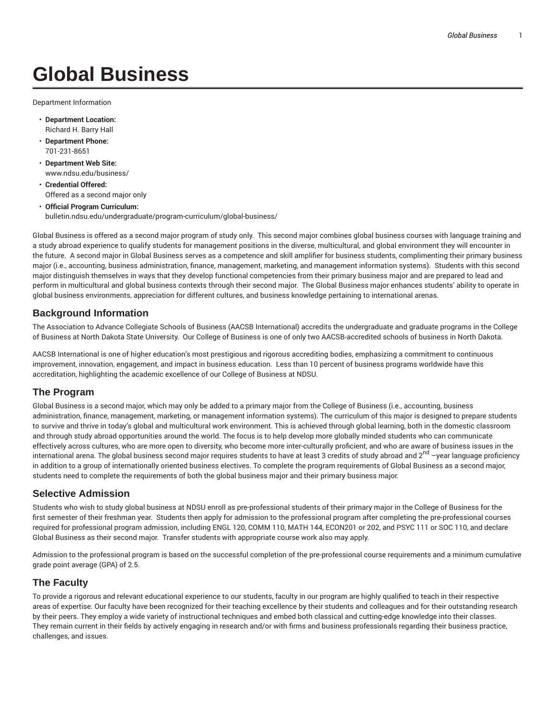# **Global Business**

Department Information

- **Department Location:** Richard H. Barry Hall
- **Department Phone:** 701-231-8651
- **Department Web Site:** www.ndsu.edu/business/
- **Credential Offered:** Offered as a second major only
- **Official Program Curriculum:** bulletin.ndsu.edu/undergraduate/program-curriculum/global-business/

Global Business is offered as a second major program of study only. This second major combines global business courses with language training and a study abroad experience to qualify students for management positions in the diverse, multicultural, and global environment they will encounter in the future. A second major in Global Business serves as a competence and skill amplifier for business students, complimenting their primary business major (i.e., accounting, business administration, finance, management, marketing, and management information systems). Students with this second major distinguish themselves in ways that they develop functional competencies from their primary business major and are prepared to lead and perform in multicultural and global business contexts through their second major. The Global Business major enhances students' ability to operate in global business environments, appreciation for different cultures, and business knowledge pertaining to international arenas.

## **Background Information**

The Association to Advance Collegiate Schools of Business (AACSB International) accredits the undergraduate and graduate programs in the College of Business at North Dakota State University. Our College of Business is one of only two AACSB-accredited schools of business in North Dakota.

AACSB International is one of higher education's most prestigious and rigorous accrediting bodies, emphasizing a commitment to continuous improvement, innovation, engagement, and impact in business education. Less than 10 percent of business programs worldwide have this accreditation, highlighting the academic excellence of our College of Business at NDSU.

#### **The Program**

Global Business is a second major, which may only be added to a primary major from the College of Business (i.e., accounting, business administration, finance, management, marketing, or management information systems). The curriculum of this major is designed to prepare students to survive and thrive in today's global and multicultural work environment. This is achieved through global learning, both in the domestic classroom and through study abroad opportunities around the world. The focus is to help develop more globally minded students who can communicate effectively across cultures, who are more open to diversity, who become more inter-culturally proficient, and who are aware of business issues in the international arena. The global business second major requires students to have at least 3 credits of study abroad and 2<sup>nd</sup> –year language proficiency in addition to a group of internationally oriented business electives. To complete the program requirements of Global Business as a second major, students need to complete the requirements of both the global business major and their primary business major.

#### **Selective Admission**

Students who wish to study global business at NDSU enroll as pre-professional students of their primary major in the College of Business for the first semester of their freshman year. Students then apply for admission to the professional program after completing the pre-professional courses required for professional program admission, including ENGL 120, COMM 110, MATH 144, ECON201 or 202, and PSYC 111 or SOC 110, and declare Global Business as their second major. Transfer students with appropriate course work also may apply.

Admission to the professional program is based on the successful completion of the pre-professional course requirements and a minimum cumulative grade point average (GPA) of 2.5.

# **The Faculty**

To provide a rigorous and relevant educational experience to our students, faculty in our program are highly qualified to teach in their respective areas of expertise. Our faculty have been recognized for their teaching excellence by their students and colleagues and for their outstanding research by their peers. They employ a wide variety of instructional techniques and embed both classical and cutting-edge knowledge into their classes. They remain current in their fields by actively engaging in research and/or with firms and business professionals regarding their business practice, challenges, and issues.